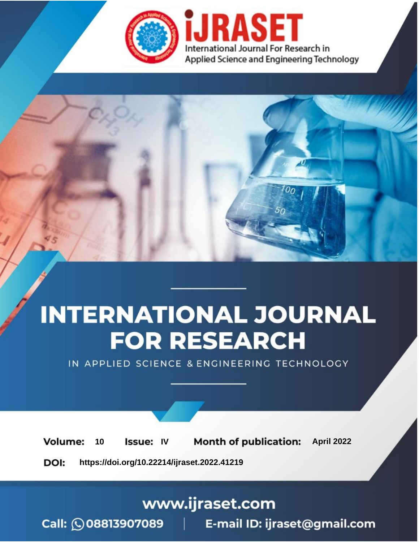

# **INTERNATIONAL JOURNAL FOR RESEARCH**

IN APPLIED SCIENCE & ENGINEERING TECHNOLOGY

Volume: 10 **Issue: IV Month of publication:** April 2022

**https://doi.org/10.22214/ijraset.2022.41219**DOI:

www.ijraset.com

Call: 008813907089 | E-mail ID: ijraset@gmail.com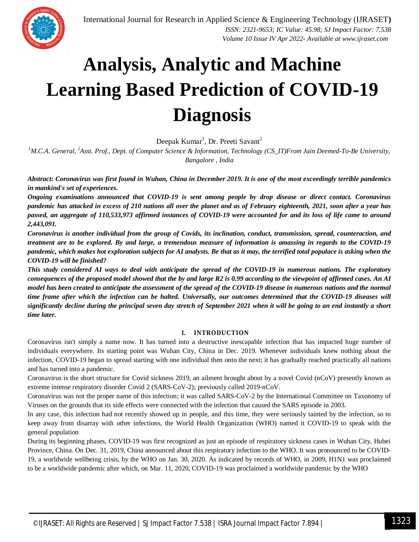

# **Analysis, Analytic and Machine Learning Based Prediction of COVID-19 Diagnosis**

Deepak Kumar<sup>1</sup>, Dr. Preeti Savant<sup>2</sup>

*<sup>1</sup>M.C.A. General, <sup>2</sup>Asst. Prof., Dept. of Computer Science & Information, Technology (CS\_IT)From Jain Deemed-To-Be University, Bangalore , India*

*Abstract: Coronavirus was first found in Wuhan, China in December 2019. It is one of the most exceedingly terrible pandemics in mankind's set of experiences.* 

*Ongoing examinations announced that COVID-19 is sent among people by drop disease or direct contact. Coronavirus pandemic has attacked in excess of 210 nations all over the planet and as of February eighteenth, 2021, soon after a year has passed, an aggregate of 110,533,973 affirmed instances of COVID-19 were accounted for and its loss of life came to around 2,443,091.* 

*Coronavirus is another individual from the group of Covids, its inclination, conduct, transmission, spread, counteraction, and treatment are to be explored. By and large, a tremendous measure of information is amassing in regards to the COVID-19 pandemic, which makes hot exploration subjects for AI analysts. Be that as it may, the terrified total populace is asking when the COVID-19 will be finished?* 

*This study considered AI ways to deal with anticipate the spread of the COVID-19 in numerous nations. The exploratory consequences of the proposed model showed that the by and large R2 is 0.99 according to the viewpoint of affirmed cases. An AI model has been created to anticipate the assessment of the spread of the COVID-19 disease in numerous nations and the normal time frame after which the infection can be halted. Universally, our outcomes determined that the COVID-19 diseases will significantly decline during the principal seven day stretch of September 2021 when it will be going to an end instantly a short time later.*

### **I. INTRODUCTION**

Coronavirus isn't simply a name now. It has turned into a destructive inescapable infection that has impacted huge number of individuals everywhere. Its starting point was Wuhan City, China in Dec. 2019. Whenever individuals knew nothing about the infection, COVID-19 began to spread starting with one individual then onto the next; it has gradually reached practically all nations and has turned into a pandemic.

Coronavirus is the short structure for Covid sickness 2019, an ailment brought about by a novel Covid (nCoV) presently known as extreme intense respiratory disorder Covid 2 (SARS-CoV-2); previously called 2019-nCoV.

Coronavirus was not the proper name of this infection; it was called SARS-CoV-2 by the International Committee on Taxonomy of Viruses on the grounds that its side effects were connected with the infection that caused the SARS episode in 2003.

In any case, this infection had not recently showed up in people, and this time, they were seriously tainted by the infection, so to keep away from disarray with other infections, the World Health Organization (WHO) named it COVID-19 to speak with the general population

During its beginning phases, COVID-19 was first recognized as just an episode of respiratory sickness cases in Wuhan City, Hubei Province, China. On Dec. 31, 2019, China announced about this respiratory infection to the WHO. It was pronounced to be COVID-19, a worldwide wellbeing crisis, by the WHO on Jan. 30, 2020. As indicated by records of WHO, in 2009, H1N1 was proclaimed to be a worldwide pandemic after which, on Mar. 11, 2020, COVID-19 was proclaimed a worldwide pandemic by the WHO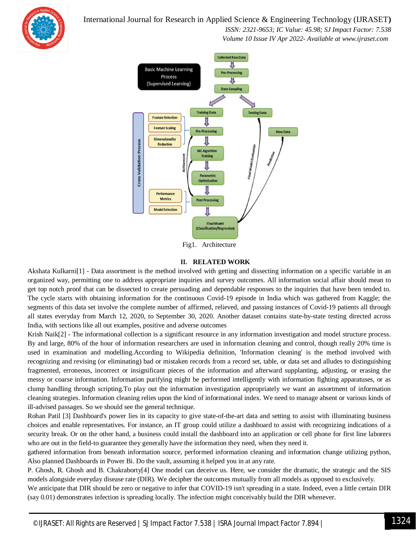## International Journal for Research in Applied Science & Engineering Technology (IJRASET**)**

 *ISSN: 2321-9653; IC Value: 45.98; SJ Impact Factor: 7.538 Volume 10 Issue IV Apr 2022- Available at www.ijraset.com*



Fig1. Architecture

#### **II. RELATED WORK**

Akshata Kulkarni[1] - Data assortment is the method involved with getting and dissecting information on a specific variable in an organized way, permitting one to address appropriate inquiries and survey outcomes. All information social affair should mean to get top notch proof that can be dissected to create persuading and dependable responses to the inquiries that have been tended to. The cycle starts with obtaining information for the continuous Covid-19 episode in India which was gathered from Kaggle; the segments of this data set involve the complete number of affirmed, relieved, and passing instances of Covid-19 patients all through all states everyday from March 12, 2020, to September 30, 2020. Another dataset contains state-by-state testing directed across India, with sections like all out examples, positive and adverse outcomes

Krish Naik[2] - The informational collection is a significant resource in any information investigation and model structure process. By and large, 80% of the hour of information researchers are used in information cleaning and control, though really 20% time is used in examination and modelling.According to Wikipedia definition, 'Information cleaning' is the method involved with recognizing and revising (or eliminating) bad or mistaken records from a record set, table, or data set and alludes to distinguishing fragmented, erroneous, incorrect or insignificant pieces of the information and afterward supplanting, adjusting, or erasing the messy or coarse information. Information purifying might be performed intelligently with information fighting apparatuses, or as clump handling through scripting.To play out the information investigation appropriately we want an assortment of information cleaning strategies. Information cleaning relies upon the kind of informational index. We need to manage absent or various kinds of ill-advised passages. So we should see the general technique.

Rohan Patil [3] Dashboard's power lies in its capacity to give state-of-the-art data and setting to assist with illuminating business choices and enable representatives. For instance, an IT group could utilize a dashboard to assist with recognizing indications of a security break. Or on the other hand, a business could install the dashboard into an application or cell phone for first line laborers who are out in the field-to guarantee they generally have the information they need, when they need it.

gathered information from beneath information source, performed information cleaning and information change utilizing python, Also planned Dashboards in Power Bi. Do the vault, assuming it helped you in at any rate.

P. Ghosh, R. Ghosh and B. Chakraborty[4] One model can deceive us. Here, we consider the dramatic, the strategic and the SIS models alongside everyday disease rate (DIR). We decipher the outcomes mutually from all models as opposed to exclusively.

We anticipate that DIR should be zero or negative to infer that COVID-19 isn't spreading in a state. Indeed, even a little certain DIR (say 0.01) demonstrates infection is spreading locally. The infection might conceivably build the DIR whenever.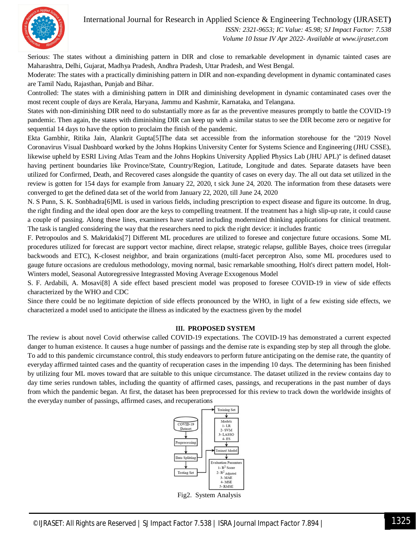International Journal for Research in Applied Science & Engineering Technology (IJRASET**)**



 *ISSN: 2321-9653; IC Value: 45.98; SJ Impact Factor: 7.538 Volume 10 Issue IV Apr 2022- Available at www.ijraset.com*

Serious: The states without a diminishing pattern in DIR and close to remarkable development in dynamic tainted cases are Maharashtra, Delhi, Gujarat, Madhya Pradesh, Andhra Pradesh, Uttar Pradesh, and West Bengal.

Moderate: The states with a practically diminishing pattern in DIR and non-expanding development in dynamic contaminated cases are Tamil Nadu, Rajasthan, Punjab and Bihar.

Controlled: The states with a diminishing pattern in DIR and diminishing development in dynamic contaminated cases over the most recent couple of days are Kerala, Haryana, Jammu and Kashmir, Karnataka, and Telangana.

States with non-diminishing DIR need to do substantially more as far as the preventive measures promptly to battle the COVID-19 pandemic. Then again, the states with diminishing DIR can keep up with a similar status to see the DIR become zero or negative for sequential 14 days to have the option to proclaim the finish of the pandemic.

Ekta Gambhir, Ritika Jain, Alankrit Gupta[5]The data set accessible from the information storehouse for the "2019 Novel Coronavirus Visual Dashboard worked by the Johns Hopkins University Center for Systems Science and Engineering (JHU CSSE), likewise upheld by ESRI Living Atlas Team and the Johns Hopkins University Applied Physics Lab (JHU APL)'' is defined dataset having pertinent boundaries like Province/State, Country/Region, Latitude, Longitude and dates. Separate datasets have been utilized for Confirmed, Death, and Recovered cases alongside the quantity of cases on every day. The all out data set utilized in the review is gotten for 154 days for example from January 22, 2020, t sick June 24, 2020. The information from these datasets were converged to get the defined data set of the world from January 22, 2020, till June 24, 2020

N. S Punn, S. K. Sonbhadra[6]ML is used in various fields, including prescription to expect disease and figure its outcome. In drug, the right finding and the ideal open door are the keys to compelling treatment. If the treatment has a high slip-up rate, it could cause a couple of passing. Along these lines, examiners have started including modernized thinking applications for clinical treatment. The task is tangled considering the way that the researchers need to pick the right device: it includes frantic

F. Petropoulos and S. Makridakis[7] Different ML procedures are utilized to foresee and conjecture future occasions. Some ML procedures utilized for forecast are support vector machine, direct relapse, strategic relapse, gullible Bayes, choice trees (irregular backwoods and ETC), K-closest neighbor, and brain organizations (multi-facet perceptron Also, some ML procedures used to gauge future occasions are credulous methodology, moving normal, basic remarkable smoothing, Holt's direct pattern model, Holt-Winters model, Seasonal Autoregressive Integrassted Moving Average Exxogenous Model

S. F. Ardabili, A. Mosavi[8] A side effect based prescient model was proposed to foresee COVID-19 in view of side effects characterized by the WHO and CDC

Since there could be no legitimate depiction of side effects pronounced by the WHO, in light of a few existing side effects, we characterized a model used to anticipate the illness as indicated by the exactness given by the model

#### **III. PROPOSED SYSTEM**

The review is about novel Covid otherwise called COVID-19 expectations. The COVID-19 has demonstrated a current expected danger to human existence. It causes a huge number of passings and the demise rate is expanding step by step all through the globe. To add to this pandemic circumstance control, this study endeavors to perform future anticipating on the demise rate, the quantity of everyday affirmed tainted cases and the quantity of recuperation cases in the impending 10 days. The determining has been finished by utilizing four ML moves toward that are suitable to this unique circumstance. The dataset utilized in the review contains day to day time series rundown tables, including the quantity of affirmed cases, passings, and recuperations in the past number of days from which the pandemic began. At first, the dataset has been preprocessed for this review to track down the worldwide insights of the everyday number of passings, affirmed cases, and recuperations



Fig2. System Analysis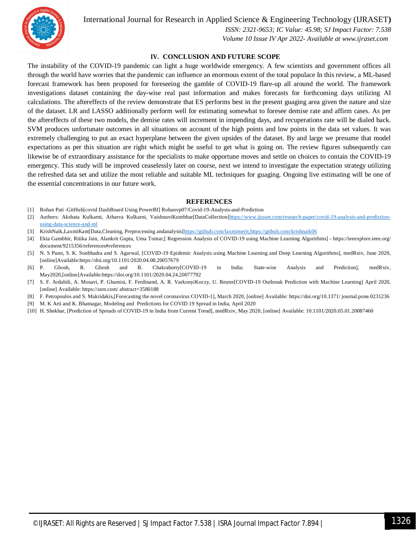

### International Journal for Research in Applied Science & Engineering Technology (IJRASET**)**

 *ISSN: 2321-9653; IC Value: 45.98; SJ Impact Factor: 7.538*

 *Volume 10 Issue IV Apr 2022- Available at www.ijraset.com*

#### **IV. CONCLUSION AND FUTURE SCOPE**

The instability of the COVID-19 pandemic can light a huge worldwide emergency. A few scientists and government offices all through the world have worries that the pandemic can influence an enormous extent of the total populace In this review, a ML-based forecast framework has been proposed for foreseeing the gamble of COVID-19 flare-up all around the world. The framework investigations dataset containing the day-wise real past information and makes forecasts for forthcoming days utilizing AI calculations. The aftereffects of the review demonstrate that ES performs best in the present guaging area given the nature and size of the dataset. LR and LASSO additionally perform well for estimating somewhat to foresee demise rate and affirm cases. As per the aftereffects of these two models, the demise rates will increment in impending days, and recuperations rate will be dialed back. SVM produces unfortunate outcomes in all situations on account of the high points and low points in the data set values. It was extremely challenging to put an exact hyperplane between the given upsides of the dataset. By and large we presume that model expectations as per this situation are right which might be useful to get what is going on. The review figures subsequently can likewise be of extraordinary assistance for the specialists to make opportune moves and settle on choices to contain the COVID-19 emergency. This study will be improved ceaselessly later on course, next we intend to investigate the expectation strategy utilizing the refreshed data set and utilize the most reliable and suitable ML techniques for guaging. Ongoing live estimating will be one of the essential concentrations in our future work.

#### **REFERENCES**

- [1] Rohan Pati -GitHub[covid DashBoard Using PowerBI] Rohanvp07/Covid-19-Analysis-and-Prediction
- [2] Authors: Akshata Kulkarni, Atharva Kulkarni, VaishnaviKumbhar[DataCollection]https://www.ijraset.com/research-paper/covid-19-analysis-and-predictionusing-data-science-and-ml
- [3] KrishNaik,LaxmiKant[Data,Cleaning, Preprocessing andanalysis]https://github.com/laxmimerit,https://github.com/krishnaik06
- [4] Ekta Gambhir, Ritika Jain, Alankrit Gupta, Uma Tomar,[ Regression Analysis of COVID-19 using Machine Learning Algorithms] https://ieeexplore.ieee.org/ document/9215356/references#references
- [5] N. S Punn, S. K. Sonbhadra and S. Agarwal, [COVID-19 Epidemic Analysis using Machine Learning and Deep Learning Algorithms], medRxiv, June 2020, [online]Available:https://doi.org/10.1101/2020.04.08.20057679
- [6] P. Ghosh, R. Ghosh and B. Chakraborty[COVID-19 in India: State-wise Analysis and Prediction], medRxiv, May2020,[online]Available:https://doi.org/10.1101/2020.04.24.20077792
- [7] S. F. Ardabili, A. Mosavi, P. Ghamisi, F. Ferdinand, A. R. VarkonyiKoczy, U. Reuter[COVID-19 Outbreak Prediction with Machine Learning] April 2020, [online] Available: https://ssrn.com/ abstract=3580188
- [8] F. Petropoulos and S. Makridakis,[Forecasting the novel coronavirus COVID-1], March 2020, [online] Available: https://doi.org/10.1371/ journal.pone.0231236
- [9] M. K Arti and K. Bhatnagar, Modeling and Predictions for COVID 19 Spread in India, April 2020
- [10] H. Shekhar, [Prediction of Spreads of COVID-19 in India from Current Trend], medRxiv, May 2020, [online] Available: 10.1101/2020.05.01.20087460